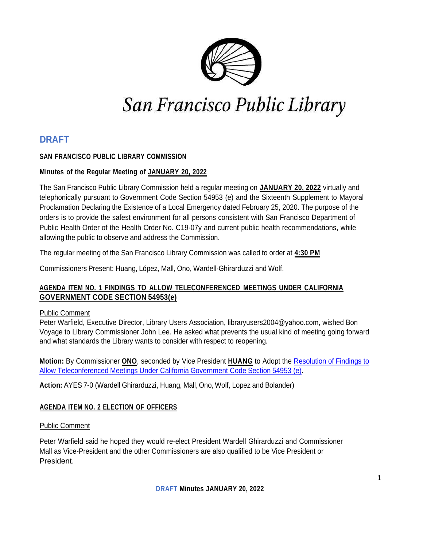

# San Francisco Public Library

## **DRAFT**

## **SAN FRANCISCO PUBLIC LIBRARY COMMISSION**

## **Minutes of the Regular Meeting of JANUARY 20, 2022**

The San Francisco Public Library Commission held a regular meeting on **JANUARY 20, 2022** virtually and telephonically pursuant to Government Code Section 54953 (e) and the Sixteenth Supplement to Mayoral Proclamation Declaring the Existence of a Local Emergency dated February 25, 2020. The purpose of the orders is to provide the safest environment for all persons consistent with San Francisco Department of Public Health Order of the Health Order No. C19-07y and current public health recommendations, while allowing the public to observe and address the Commission.

The regular meeting of the San Francisco Library Commission was called to order at **4:30 PM**

Commissioners Present: Huang, López, Mall, Ono, Wardell-Ghirarduzzi and Wolf.

## **AGENDA ITEM NO. 1 FINDINGS TO ALLOW TELECONFERENCED MEETINGS UNDER CALIFORNIA GOVERNMENT CODE SECTION 54953(e)**

## Public Comment

Peter Warfield, Executive Director, Library Users Association, [libraryusers2004@yahoo.com, w](mailto:libraryusers2004@yahoo.com)ished Bon Voyage to Library Commissioner John Lee. He asked what prevents the usual kind of meeting going forward and what standards the Library wants to consider with respect to reopening.

**Motion:** By Commissioner **ONO**, seconded by Vice President **HUANG** to Adopt the [Resolution](https://sfpl.org/sites/default/files/2022-01/1-resolution012022.pdf) of Findings to Allow [Teleconferenced](https://sfpl.org/sites/default/files/2022-01/1-resolution012022.pdf) Meetings Under California Government Code Section 54953 (e).

**Action:** AYES 7-0 (Wardell Ghirarduzzi, Huang, Mall, Ono, Wolf, Lopez and Bolander)

## **AGENDA ITEM NO. 2 ELECTION OF OFFICERS**

## Public Comment

Peter Warfield said he hoped they would re-elect President Wardell Ghirarduzzi and Commissioner Mall as Vice-President and the other Commissioners are also qualified to be Vice President or President.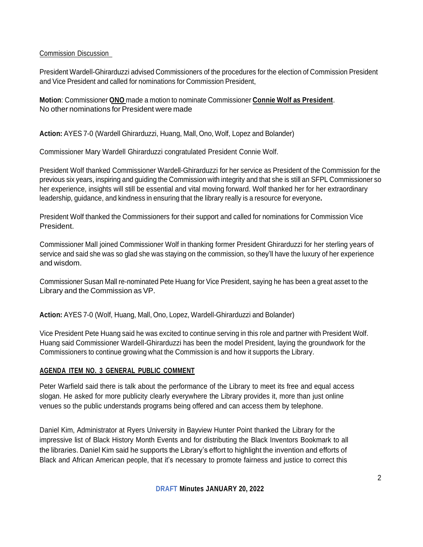## Commission Discussion

President Wardell-Ghirarduzzi advised Commissioners of the procedures for the election of Commission President and Vice President and called for nominations for Commission President,

**Motion**: Commissioner **ONO** made a motion to nominate Commissioner **Connie Wolf as President**. No other nominations for President were made

**Action:** AYES 7-0 (Wardell Ghirarduzzi, Huang, Mall, Ono, Wolf, Lopez and Bolander)

Commissioner Mary Wardell Ghirarduzzi congratulated President Connie Wolf.

President Wolf thanked Commissioner Wardell-Ghirarduzzi for her service as President of the Commission for the previous six years, inspiring and guiding the Commission with integrity and that she is still an SFPL Commissioner so her experience, insights will still be essential and vital moving forward. Wolf thanked her for her extraordinary leadership, guidance, and kindness in ensuring that the library really is a resource for everyone**.**

President Wolf thanked the Commissioners for their support and called for nominations for Commission Vice President.

Commissioner Mall joined Commissioner Wolf in thanking former President Ghirarduzzi for her sterling years of service and said she was so glad she was staying on the commission, so they'll have the luxury of her experience and wisdom.

Commissioner Susan Mall re-nominated Pete Huang for Vice President, saying he has been a great asset to the Library and the Commission as VP.

**Action:** AYES 7-0 (Wolf, Huang, Mall, Ono, Lopez, Wardell-Ghirarduzzi and Bolander)

Vice President Pete Huang said he was excited to continue serving in this role and partner with President Wolf. Huang said Commissioner Wardell-Ghirarduzzi has been the model President, laying the groundwork for the Commissioners to continue growing what the Commission is and how it supports the Library.

## **AGENDA ITEM NO. 3 GENERAL PUBLIC COMMENT**

Peter Warfield said there is talk about the performance of the Library to meet its free and equal access slogan. He asked for more publicity clearly everywhere the Library provides it, more than just online venues so the public understands programs being offered and can access them by telephone.

Daniel Kim, Administrator at Ryers University in Bayview Hunter Point thanked the Library for the impressive list of Black History Month Events and for distributing the Black Inventors Bookmark to all the libraries. Daniel Kim said he supports the Library's effort to highlight the invention and efforts of Black and African American people, that it's necessary to promote fairness and justice to correct this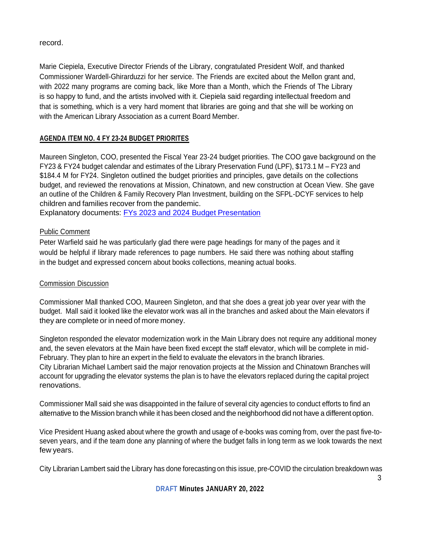record.

Marie Ciepiela, Executive Director Friends of the Library, congratulated President Wolf, and thanked Commissioner Wardell-Ghirarduzzi for her service. The Friends are excited about the Mellon grant and, with 2022 many programs are coming back, like More than a Month, which the Friends of The Library is so happy to fund, and the artists involved with it. Ciepiela said regarding intellectual freedom and that is something, which is a very hard moment that libraries are going and that she will be working on with the American Library Association as a current Board Member.

## **AGENDA ITEM NO. 4 FY 23-24 BUDGET PRIORITES**

Maureen Singleton, COO, presented the Fiscal Year 23-24 budget priorities. The COO gave background on the FY23 & FY24 budget calendar and estimates of the Library Preservation Fund (LPF), \$173.1 M – FY23 and \$184.4 M for FY24. Singleton outlined the budget priorities and principles, gave details on the collections budget, and reviewed the renovations at Mission, Chinatown, and new construction at Ocean View. She gave an outline of the Children & Family Recovery Plan Investment, building on the SFPL-DCYF services to help children and families recover from the pandemic.

Explanatory documents: [FYs 2023 and 2024 Budget Presentation](https://sfpl.org/sites/default/files/2022-01/3-sfpl-budget-fy23-24012022.pdf)

## Public Comment

Peter Warfield said he was particularly glad there were page headings for many of the pages and it would be helpful if library made references to page numbers. He said there was nothing about staffing in the budget and expressed concern about books collections, meaning actual books.

## Commission Discussion

Commissioner Mall thanked COO, Maureen Singleton, and that she does a great job year over year with the budget. Mall said it looked like the elevator work was all in the branches and asked about the Main elevators if they are complete or in need of more money.

Singleton responded the elevator modernization work in the Main Library does not require any additional money and, the seven elevators at the Main have been fixed except the staff elevator, which will be complete in mid-February. They plan to hire an expert in the field to evaluate the elevators in the branch libraries. City Librarian Michael Lambert said the major renovation projects at the Mission and Chinatown Branches will account for upgrading the elevator systems the plan is to have the elevators replaced during the capital project renovations.

Commissioner Mall said she was disappointed in the failure of several city agencies to conduct efforts to find an alternative to the Mission branch while it has been closed and the neighborhood did not have a different option.

Vice President Huang asked about where the growth and usage of e-books was coming from, over the past five-toseven years, and if the team done any planning of where the budget falls in long term as we look towards the next few years.

City Librarian Lambert said the Library has done forecasting on this issue, pre-COVID the circulation breakdown was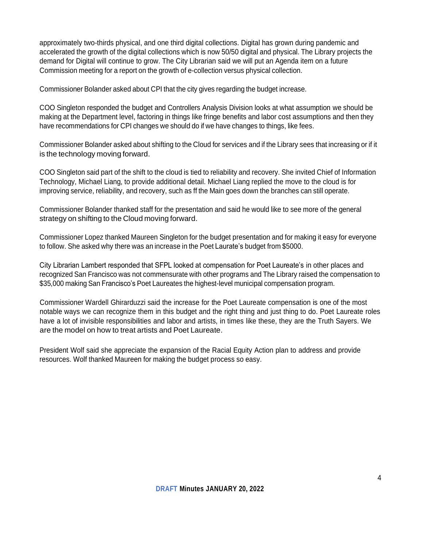approximately two-thirds physical, and one third digital collections. Digital has grown during pandemic and accelerated the growth of the digital collections which is now 50/50 digital and physical. The Library projects the demand for Digital will continue to grow. The City Librarian said we will put an Agenda item on a future Commission meeting for a report on the growth of e-collection versus physical collection.

Commissioner Bolander asked about CPI that the city gives regarding the budget increase.

COO Singleton responded the budget and Controllers Analysis Division looks at what assumption we should be making at the Department level, factoring in things like fringe benefits and labor cost assumptions and then they have recommendations for CPI changes we should do if we have changes to things, like fees.

Commissioner Bolander asked about shifting to the Cloud for services and if the Library sees that increasing or if it is the technology moving forward.

COO Singleton said part of the shift to the cloud is tied to reliability and recovery. She invited Chief of Information Technology, Michael Liang, to provide additional detail. Michael Liang replied the move to the cloud is for improving service, reliability, and recovery, such as ff the Main goes down the branches can still operate.

Commissioner Bolander thanked staff for the presentation and said he would like to see more of the general strategy on shifting to the Cloud moving forward.

Commissioner Lopez thanked Maureen Singleton for the budget presentation and for making it easy for everyone to follow. She asked why there was an increase in the Poet Laurate's budget from \$5000.

City Librarian Lambert responded that SFPL looked at compensation for Poet Laureate's in other places and recognized San Francisco was not commensurate with other programs and The Library raised the compensation to \$35,000 making San Francisco's Poet Laureates the highest-level municipal compensation program.

Commissioner Wardell Ghirarduzzi said the increase for the Poet Laureate compensation is one of the most notable ways we can recognize them in this budget and the right thing and just thing to do. Poet Laureate roles have a lot of invisible responsibilities and labor and artists, in times like these, they are the Truth Sayers. We are the model on how to treat artists and Poet Laureate.

President Wolf said she appreciate the expansion of the Racial Equity Action plan to address and provide resources. Wolf thanked Maureen for making the budget process so easy.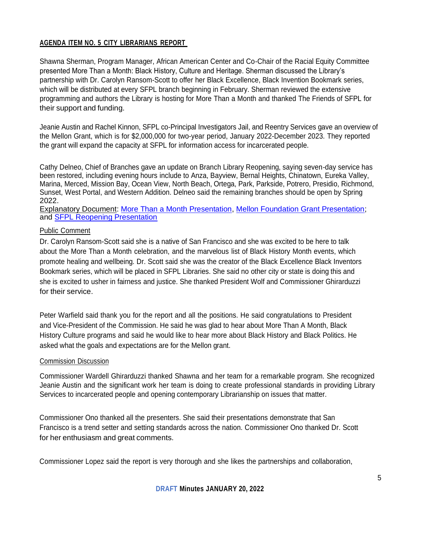## **AGENDA ITEM NO. 5 CITY LIBRARIANS REPORT**

Shawna Sherman, Program Manager, African American Center and Co-Chair of the Racial Equity Committee presented More Than a Month: Black History, Culture and Heritage. Sherman discussed the Library's partnership with Dr. Carolyn Ransom-Scott to offer her Black Excellence, Black Invention Bookmark series, which will be distributed at every SFPL branch beginning in February. Sherman reviewed the extensive programming and authors the Library is hosting for More Than a Month and thanked The Friends of SFPL for their support and funding.

Jeanie Austin and Rachel Kinnon, SFPL co-Principal Investigators Jail, and Reentry Services gave an overview of the Mellon Grant, which is for \$2,000,000 for two-year period, January 2022-December 2023. They reported the grant will expand the capacity at SFPL for information access for incarcerated people.

Cathy Delneo, Chief of Branches gave an update on Branch Library Reopening, saying seven-day service has been restored, including evening hours include to Anza, Bayview, Bernal Heights, Chinatown, Eureka Valley, Marina, Merced, Mission Bay, Ocean View, North Beach, Ortega, Park, Parkside, Potrero, Presidio, Richmond, Sunset, West Portal, and Western Addition. Delneo said the remaining branches should be open by Spring 2022.

Explanatory Document: [More Than a Month Presentation,](https://sfpl.org/sites/default/files/2022-01/5-1-more-than-a-month2022012022.pdf) [Mellon Foundation Grant Presentation;](https://sfpl.org/sites/default/files/2022-01/5-2-mellon-grant012022_0.pdf) and [SFPL Reopening Presentation](https://sfpl.org/sites/default/files/2022-01/5-3-sfpl-reopening012022.pdf)

#### Public Comment

Dr. Carolyn Ransom-Scott said she is a native of San Francisco and she was excited to be here to talk about the More Than a Month celebration, and the marvelous list of Black History Month events, which promote healing and wellbeing. Dr. Scott said she was the creator of the Black Excellence Black Inventors Bookmark series, which will be placed in SFPL Libraries. She said no other city or state is doing this and she is excited to usher in fairness and justice. She thanked President Wolf and Commissioner Ghirarduzzi for their service.

Peter Warfield said thank you for the report and all the positions. He said congratulations to President and Vice-President of the Commission. He said he was glad to hear about More Than A Month, Black History Culture programs and said he would like to hear more about Black History and Black Politics. He asked what the goals and expectations are for the Mellon grant.

## Commission Discussion

Commissioner Wardell Ghirarduzzi thanked Shawna and her team for a remarkable program. She recognized Jeanie Austin and the significant work her team is doing to create professional standards in providing Library Services to incarcerated people and opening contemporary Librarianship on issues that matter.

Commissioner Ono thanked all the presenters. She said their presentations demonstrate that San Francisco is a trend setter and setting standards across the nation. Commissioner Ono thanked Dr. Scott for her enthusiasm and great comments.

Commissioner Lopez said the report is very thorough and she likes the partnerships and collaboration,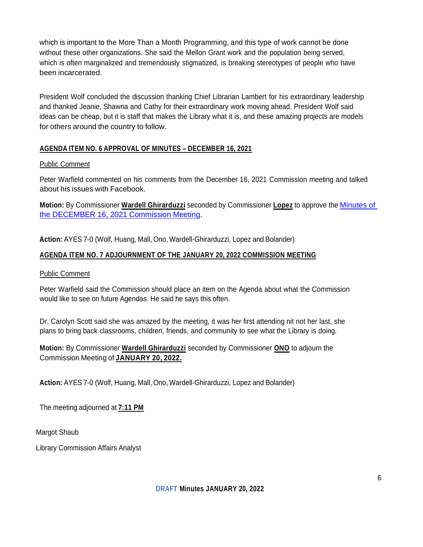which is important to the More Than a Month Programming, and this type of work cannot be done without these other organizations. She said the Mellon Grant work and the population being served, which is often marginalized and tremendously stigmatized, is breaking stereotypes of people who have been incarcerated.

President Wolf concluded the discussion thanking Chief Librarian Lambert for his extraordinary leadership and thanked Jeanie, Shawna and Cathy for their extraordinary work moving ahead. President Wolf said ideas can be cheap, but it is staff that makes the Library what it is, and these amazing projects are models for others around the country to follow.

## **AGENDA ITEM NO. 6 APPROVAL OF MINUTES – DECEMBER 16, 2021**

#### Public Comment

Peter Warfield commented on his comments from the December 16, 2021 Commission meeting and talked about his issues with Facebook.

**Motion:** By Commissioner **Wardell Ghirarduzzi** seconded by Commissioner **Lopez** to approve the [Minutes of](https://sfpl.org/library-commission/draft-minutes-december-16-2021)  [the DECEMBER 16, 2021 Commission Meeting.](https://sfpl.org/library-commission/draft-minutes-december-16-2021)

**Action:** AYES 7-0 (Wolf, Huang, Mall, Ono, Wardell-Ghirarduzzi, Lopez and Bolander)

## **AGENDA ITEM NO. 7 ADJOURNMENT OF THE JANUARY 20, 2022 COMMISSION MEETING**

#### Public Comment

Peter Warfield said the Commission should place an item on the Agenda about what the Commission would like to see on future Agendas. He said he says this often.

Dr. Carolyn Scott said she was amazed by the meeting, it was her first attending nit not her last, she plans to bring back classrooms, children, friends, and community to see what the Library is doing.

**Motion:** By Commissioner **Wardell Ghirarduzzi** seconded by Commissioner **ONO** to adjourn the Commission Meeting of **JANUARY 20, 2022.**

**Action:** AYES 7-0 (Wolf, Huang, Mall, Ono, Wardell-Ghirarduzzi, Lopez and Bolander)

The meeting adjourned at **7:11 PM**

Margot Shaub

Library Commission Affairs Analyst